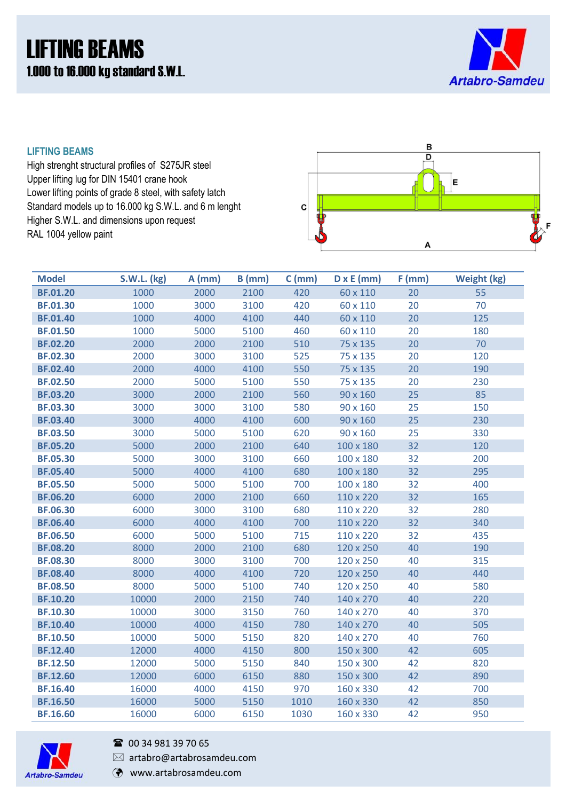# LIFTING BEAMS 1.000 to 16.000 kg standard S.W.L.



### **LIFTING BEAMS**

High strenght structural profiles of S275JR steel Upper lifting lug for DIN 15401 crane hook Lower lifting points of grade 8 steel, with safety latch Standard models up to 16.000 kg S.W.L. and 6 m lenght Higher S.W.L. and dimensions upon request RAL 1004 yellow paint



| <b>Model</b>    | <b>S.W.L. (kg)</b> | $A$ (mm) | $B$ (mm) | $C$ (mm) | $D \times E$ (mm) | $F$ (mm) | <b>Weight (kg)</b> |
|-----------------|--------------------|----------|----------|----------|-------------------|----------|--------------------|
| <b>BF.01.20</b> | 1000               | 2000     | 2100     | 420      | 60 x 110          | 20       | 55                 |
| <b>BF.01.30</b> | 1000               | 3000     | 3100     | 420      | 60 x 110          | 20       | 70                 |
| <b>BF.01.40</b> | 1000               | 4000     | 4100     | 440      | 60 x 110          | 20       | 125                |
| <b>BF.01.50</b> | 1000               | 5000     | 5100     | 460      | 60 x 110          | 20       | 180                |
| <b>BF.02.20</b> | 2000               | 2000     | 2100     | 510      | 75 x 135          | 20       | 70                 |
| <b>BF.02.30</b> | 2000               | 3000     | 3100     | 525      | 75 x 135          | 20       | 120                |
| <b>BF.02.40</b> | 2000               | 4000     | 4100     | 550      | 75 x 135          | 20       | 190                |
| <b>BF.02.50</b> | 2000               | 5000     | 5100     | 550      | 75 x 135          | 20       | 230                |
| <b>BF.03.20</b> | 3000               | 2000     | 2100     | 560      | 90 x 160          | 25       | 85                 |
| <b>BF.03.30</b> | 3000               | 3000     | 3100     | 580      | 90 x 160          | 25       | 150                |
| <b>BF.03.40</b> | 3000               | 4000     | 4100     | 600      | 90 x 160          | 25       | 230                |
| <b>BF.03.50</b> | 3000               | 5000     | 5100     | 620      | 90 x 160          | 25       | 330                |
| <b>BF.05.20</b> | 5000               | 2000     | 2100     | 640      | 100 x 180         | 32       | 120                |
| <b>BF.05.30</b> | 5000               | 3000     | 3100     | 660      | 100 x 180         | 32       | 200                |
| <b>BF.05.40</b> | 5000               | 4000     | 4100     | 680      | 100 x 180         | 32       | 295                |
| <b>BF.05.50</b> | 5000               | 5000     | 5100     | 700      | 100 x 180         | 32       | 400                |
| <b>BF.06.20</b> | 6000               | 2000     | 2100     | 660      | 110 x 220         | 32       | 165                |
| <b>BF.06.30</b> | 6000               | 3000     | 3100     | 680      | 110 x 220         | 32       | 280                |
| <b>BF.06.40</b> | 6000               | 4000     | 4100     | 700      | 110 x 220         | 32       | 340                |
| <b>BF.06.50</b> | 6000               | 5000     | 5100     | 715      | 110 x 220         | 32       | 435                |
| <b>BF.08.20</b> | 8000               | 2000     | 2100     | 680      | 120 x 250         | 40       | 190                |
| <b>BF.08.30</b> | 8000               | 3000     | 3100     | 700      | 120 x 250         | 40       | 315                |
| <b>BF.08.40</b> | 8000               | 4000     | 4100     | 720      | 120 x 250         | 40       | 440                |
| <b>BF.08.50</b> | 8000               | 5000     | 5100     | 740      | 120 x 250         | 40       | 580                |
| <b>BF.10.20</b> | 10000              | 2000     | 2150     | 740      | 140 x 270         | 40       | 220                |
| <b>BF.10.30</b> | 10000              | 3000     | 3150     | 760      | 140 x 270         | 40       | 370                |
| <b>BF.10.40</b> | 10000              | 4000     | 4150     | 780      | 140 x 270         | 40       | 505                |
| <b>BF.10.50</b> | 10000              | 5000     | 5150     | 820      | 140 x 270         | 40       | 760                |
| <b>BF.12.40</b> | 12000              | 4000     | 4150     | 800      | 150 x 300         | 42       | 605                |
| <b>BF.12.50</b> | 12000              | 5000     | 5150     | 840      | 150 x 300         | 42       | 820                |
| <b>BF.12.60</b> | 12000              | 6000     | 6150     | 880      | 150 x 300         | 42       | 890                |
| <b>BF.16.40</b> | 16000              | 4000     | 4150     | 970      | 160 x 330         | 42       | 700                |
| <b>BF.16.50</b> | 16000              | 5000     | 5150     | 1010     | 160 x 330         | 42       | 850                |
| <b>BF.16.60</b> | 16000              | 6000     | 6150     | 1030     | 160 x 330         | 42       | 950                |



### <sup>3</sup> 00 34 981 39 70 65

 $\boxtimes$  artabro@artabrosamdeu.com

www.artabrosamdeu.com